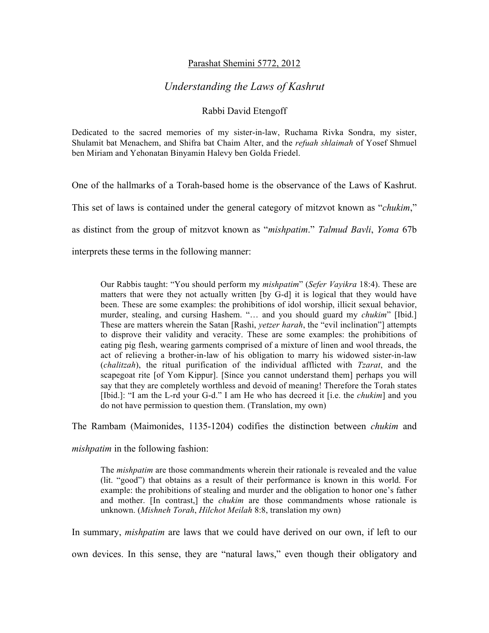## Parashat Shemini 5772, 2012

# *Understanding the Laws of Kashrut*

# Rabbi David Etengoff

Dedicated to the sacred memories of my sister-in-law, Ruchama Rivka Sondra, my sister, Shulamit bat Menachem, and Shifra bat Chaim Alter, and the *refuah shlaimah* of Yosef Shmuel ben Miriam and Yehonatan Binyamin Halevy ben Golda Friedel.

One of the hallmarks of a Torah-based home is the observance of the Laws of Kashrut.

This set of laws is contained under the general category of mitzvot known as "*chukim*,"

as distinct from the group of mitzvot known as "*mishpatim*." *Talmud Bavli*, *Yoma* 67b

interprets these terms in the following manner:

Our Rabbis taught: "You should perform my *mishpatim*" (*Sefer Vayikra* 18:4). These are matters that were they not actually written [by G-d] it is logical that they would have been. These are some examples: the prohibitions of idol worship, illicit sexual behavior, murder, stealing, and cursing Hashem. "… and you should guard my *chukim*" [Ibid.] These are matters wherein the Satan [Rashi, *yetzer harah*, the "evil inclination"] attempts to disprove their validity and veracity. These are some examples: the prohibitions of eating pig flesh, wearing garments comprised of a mixture of linen and wool threads, the act of relieving a brother-in-law of his obligation to marry his widowed sister-in-law (*chalitzah*), the ritual purification of the individual afflicted with *Tzarat*, and the scapegoat rite [of Yom Kippur]. [Since you cannot understand them] perhaps you will say that they are completely worthless and devoid of meaning! Therefore the Torah states [Ibid.]: "I am the L-rd your G-d." I am He who has decreed it [i.e. the *chukim*] and you do not have permission to question them. (Translation, my own)

The Rambam (Maimonides, 1135-1204) codifies the distinction between *chukim* and

*mishpatim* in the following fashion:

The *mishpatim* are those commandments wherein their rationale is revealed and the value (lit. "good") that obtains as a result of their performance is known in this world. For example: the prohibitions of stealing and murder and the obligation to honor one's father and mother. [In contrast,] the *chukim* are those commandments whose rationale is unknown. (*Mishneh Torah*, *Hilchot Meilah* 8:8, translation my own)

In summary, *mishpatim* are laws that we could have derived on our own, if left to our

own devices. In this sense, they are "natural laws," even though their obligatory and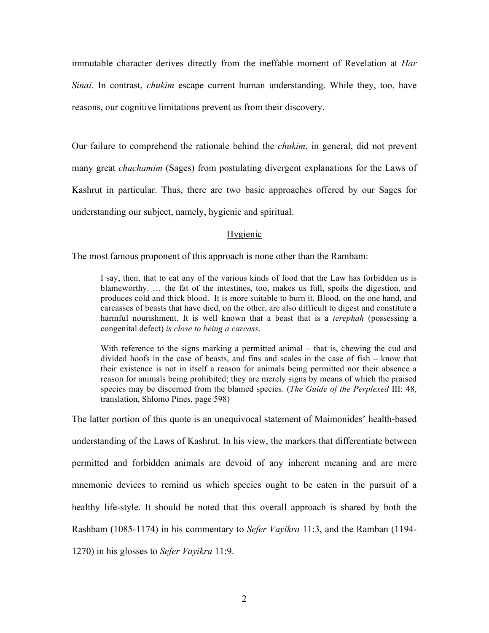immutable character derives directly from the ineffable moment of Revelation at *Har Sinai*. In contrast, *chukim* escape current human understanding. While they, too, have reasons, our cognitive limitations prevent us from their discovery.

Our failure to comprehend the rationale behind the *chukim*, in general, did not prevent many great *chachamim* (Sages) from postulating divergent explanations for the Laws of Kashrut in particular. Thus, there are two basic approaches offered by our Sages for understanding our subject, namely, hygienic and spiritual.

## Hygienic

The most famous proponent of this approach is none other than the Rambam:

I say, then, that to eat any of the various kinds of food that the Law has forbidden us is blameworthy. … the fat of the intestines, too, makes us full, spoils the digestion, and produces cold and thick blood. It is more suitable to burn it. Blood, on the one hand, and carcasses of beasts that have died, on the other, are also difficult to digest and constitute a harmful nourishment. It is well known that a beast that is a *terephah* (possessing a congenital defect) *is close to being a carcass*.

With reference to the signs marking a permitted animal – that is, chewing the cud and divided hoofs in the case of beasts, and fins and scales in the case of fish – know that their existence is not in itself a reason for animals being permitted nor their absence a reason for animals being prohibited; they are merely signs by means of which the praised species may be discerned from the blamed species. (*The Guide of the Perplexed* III: 48, translation, Shlomo Pines, page 598)

The latter portion of this quote is an unequivocal statement of Maimonides' health-based understanding of the Laws of Kashrut. In his view, the markers that differentiate between permitted and forbidden animals are devoid of any inherent meaning and are mere mnemonic devices to remind us which species ought to be eaten in the pursuit of a healthy life-style. It should be noted that this overall approach is shared by both the Rashbam (1085-1174) in his commentary to *Sefer Vayikra* 11:3, and the Ramban (1194- 1270) in his glosses to *Sefer Vayikra* 11:9.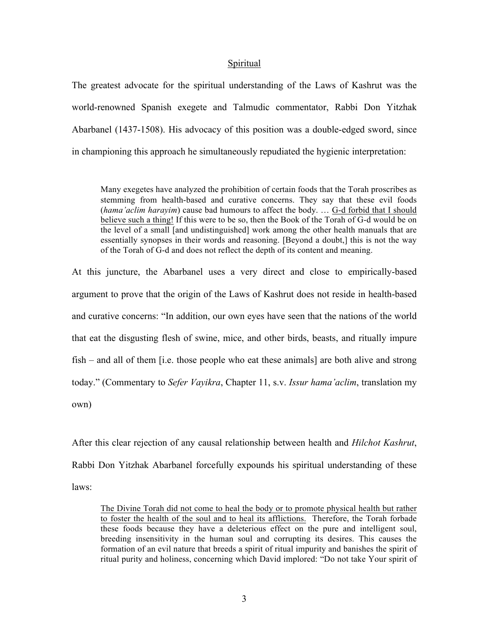#### Spiritual

The greatest advocate for the spiritual understanding of the Laws of Kashrut was the world-renowned Spanish exegete and Talmudic commentator, Rabbi Don Yitzhak Abarbanel (1437-1508). His advocacy of this position was a double-edged sword, since in championing this approach he simultaneously repudiated the hygienic interpretation:

Many exegetes have analyzed the prohibition of certain foods that the Torah proscribes as stemming from health-based and curative concerns. They say that these evil foods (*hama'aclim harayim*) cause bad humours to affect the body. … G-d forbid that I should believe such a thing! If this were to be so, then the Book of the Torah of G-d would be on the level of a small [and undistinguished] work among the other health manuals that are essentially synopses in their words and reasoning. [Beyond a doubt,] this is not the way of the Torah of G-d and does not reflect the depth of its content and meaning.

At this juncture, the Abarbanel uses a very direct and close to empirically-based argument to prove that the origin of the Laws of Kashrut does not reside in health-based and curative concerns: "In addition, our own eyes have seen that the nations of the world that eat the disgusting flesh of swine, mice, and other birds, beasts, and ritually impure fish – and all of them [i.e. those people who eat these animals] are both alive and strong today." (Commentary to *Sefer Vayikra*, Chapter 11, s.v. *Issur hama'aclim*, translation my own)

After this clear rejection of any causal relationship between health and *Hilchot Kashrut*, Rabbi Don Yitzhak Abarbanel forcefully expounds his spiritual understanding of these laws:

The Divine Torah did not come to heal the body or to promote physical health but rather to foster the health of the soul and to heal its afflictions. Therefore, the Torah forbade these foods because they have a deleterious effect on the pure and intelligent soul, breeding insensitivity in the human soul and corrupting its desires. This causes the formation of an evil nature that breeds a spirit of ritual impurity and banishes the spirit of ritual purity and holiness, concerning which David implored: "Do not take Your spirit of